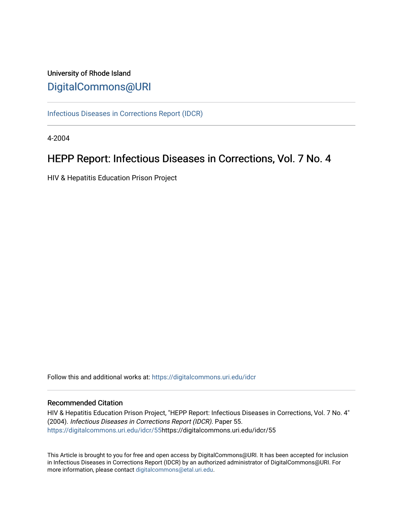# University of Rhode Island [DigitalCommons@URI](https://digitalcommons.uri.edu/)

[Infectious Diseases in Corrections Report \(IDCR\)](https://digitalcommons.uri.edu/idcr)

4-2004

# HEPP Report: Infectious Diseases in Corrections, Vol. 7 No. 4

HIV & Hepatitis Education Prison Project

Follow this and additional works at: [https://digitalcommons.uri.edu/idcr](https://digitalcommons.uri.edu/idcr?utm_source=digitalcommons.uri.edu%2Fidcr%2F55&utm_medium=PDF&utm_campaign=PDFCoverPages)

# Recommended Citation

HIV & Hepatitis Education Prison Project, "HEPP Report: Infectious Diseases in Corrections, Vol. 7 No. 4" (2004). Infectious Diseases in Corrections Report (IDCR). Paper 55. [https://digitalcommons.uri.edu/idcr/55h](https://digitalcommons.uri.edu/idcr/55?utm_source=digitalcommons.uri.edu%2Fidcr%2F55&utm_medium=PDF&utm_campaign=PDFCoverPages)ttps://digitalcommons.uri.edu/idcr/55

This Article is brought to you for free and open access by DigitalCommons@URI. It has been accepted for inclusion in Infectious Diseases in Corrections Report (IDCR) by an authorized administrator of DigitalCommons@URI. For more information, please contact [digitalcommons@etal.uri.edu.](mailto:digitalcommons@etal.uri.edu)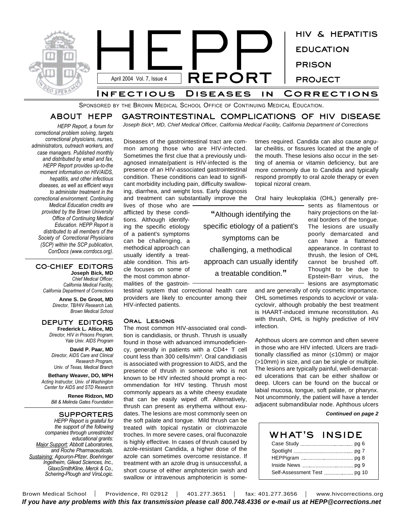

SPONSORED BY THE BROWN MEDICAL SCHOOL OFFICE OF CONTINUING MEDICAL EDUCATION.

# **ABOUT HEPP**

*HEPP Report, a forum for correctional problem solving, targets correctional physicians, nurses, administrators, outreach workers, and case managers. Published monthly and distributed by email and fax, HEPP Report provides up-to-the moment information on HIV/AIDS, hepatitis, and other infectious diseases, as well as efficient ways to administer treatment in the correctional environment. Continuing Medical Education credits are provided by the Brown University Office of Continuing Medical Education. HEPP Report is distributed to all members of the Society of Correctional Physicians (SCP) within the SCP publication, CorrDocs (www.corrdocs.org).*

#### **CO-CHIEF EDITORS Joseph Bick, MD** *Chief Medical Officer,*

*California Medical Facility, California Department of Corrections*

> **Anne S. De Groot, MD** *Director, TB/HIV Research Lab, Brown Medical School*

#### **DEPUTY EDITORS Frederick L. Altice, MD**

*Director, HIV in Prisons Program, Yale Univ. AIDS Program*

**David P. Paar, MD** *Director, AIDS Care and Clinical Research Program, Univ. of Texas, Medical Branch*

**Bethany Weaver, DO, MPH** *Acting Instructor, Univ. of Washington Center for AIDS and STD Research*

> **Renee Ridzon, MD** *Bill & Melinda Gates Foundation*

# **SUPPORTERS**

*HEPP Report is grateful for the support of the following companies through unrestricted educational grants: Major Support: Abbott Laboratories, and Roche Pharmaceuticals. Sustaining: Agouron-Pfizer, Boehringer Ingelheim, Gilead Sciences, Inc., GlaxoSmithKline, Merck & Co., Schering-Plough and ViroLogic.*

**GASTROINTESTINAL COMPLICATIONS OF HIV DISEASE** *Joseph Bick\*, MD, Chief Medical Officer, California Medical Facility, California Department of Corrections*

Diseases of the gastrointestinal tract are common among those who are HIV-infected. Sometimes the first clue that a previously undiagnosed inmate/patient is HIV-infected is the presence of an HIV-associated gastrointestinal condition. These conditions can lead to significant morbidity including pain, difficulty swallowing, diarrhea, and weight loss. Early diagnosis and treatment can substantially improve the

lives of those who are afflicted by these conditions. Although identifying the specific etiology of a patient's symptoms can be challenging, a methodical approach can usually identify a treatable condition. This article focuses on some of the most common abnormalities of the gastroin-

testinal system that correctional health care providers are likely to encounter among their HIV-infected patients.

#### **Oral Lesions**

The most common HIV-associated oral condition is candidiasis, or thrush. Thrush is usually found in those with advanced immunodeficiency, generally in patients with a CD4+ T cell count less than 300 cells/mm<sup>3</sup>. Oral candidiasis is associated with progression to AIDS, and the presence of thrush in someone who is not known to be HIV infected should prompt a recommendation for HIV testing. Thrush most commonly appears as a white cheesy exudate that can be easily wiped off. Alternatively, thrush can present as erythema without exudates. The lesions are most commonly seen on the soft palate and tongue. Mild thrush can be treated with topical nystatin or clotrimazole troches. In more severe cases, oral fluconazole is highly effective. In cases of thrush caused by azole-resistant Candida, a higher dose of the azole can sometimes overcome resistance. If treatment with an azole drug is unsuccessful, a short course of either amphotericin swish and swallow or intravenous amphotericin is some-

**"**Although identifying the specific etiology of a patient's symptoms can be challenging, a methodical approach can usually identify a treatable condition.**"**

times required. Candida can also cause angular cheilitis, or fissures located at the angle of the mouth. These lesions also occur in the setting of anemia or vitamin deficiency, but are more commonly due to Candida and typically respond promptly to oral azole therapy or even topical nizoral cream.

Oral hairy leukoplakia (OHL) generally pre-

sents as filamentous or hairy projections on the lateral borders of the tongue. The lesions are usually poorly demarcated and can have a flattened appearance. In contrast to thrush, the lesion of OHL cannot be brushed off. Thought to be due to Epstein-Barr virus, the lesions are asymptomatic

and are generally of only cosmetic importance. OHL sometimes responds to acyclovir or valacyclovir, although probably the best treatment is HAART-induced immune reconstitution. As with thrush, OHL is highly predictive of HIV infection.

Aphthous ulcers are common and often severe in those who are HIV infected. Ulcers are traditionally classified as minor (<10mm) or major (>10mm) in size, and can be single or multiple. The lesions are typically painful, well-demarcated ulcerations that can be either shallow or deep. Ulcers can be found on the buccal or labial mucosa, tongue, soft palate, or pharynx. Not uncommonly, the patient will have a tender adjacent submandibular node. Aphthous ulcers

#### *Continued on page 2*

| WHAT'S | <b>INSIDE</b>                               |
|--------|---------------------------------------------|
|        |                                             |
|        |                                             |
|        |                                             |
|        |                                             |
|        | Self-Assessment Test <b>Fig. 2018</b> pg 10 |

Brown Medical School | Providence, RI 02912 | 401.277.3651 | fax: 401.277.3656 | www.hivcorrections.org *If you have any problems with this fax transmission please call 800.748.4336 or e-mail us at HEPP@corrections.net*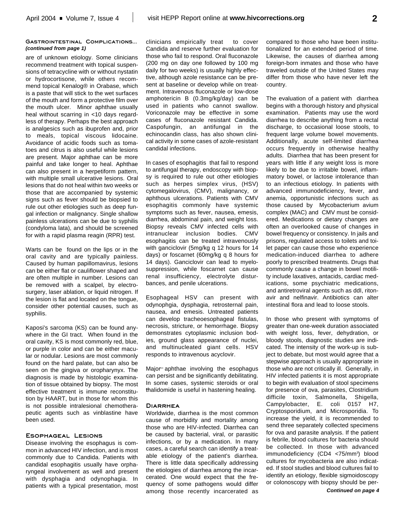#### **Gastrointestinal Complications...** *(continued from page 1)*

are of unknown etiology. Some clinicians recommend treatment with topical suspensions of tetracycline with or without nystatin or hydrocortisone, while others recommend topical Kenalog® in Orabase, which is a paste that will stick to the wet surfaces of the mouth and form a protective film over the mouth ulcer. Minor aphthae usually heal without scarring in <10 days regardless of therapy. Perhaps the best approach is analgesics such as ibuprofen and, prior to meals, topical viscous lidocaine. Avoidance of acidic foods such as tomatoes and citrus is also useful while lesions are present. Major aphthae can be more painful and take longer to heal. Aphthae can also present in a herpetiform pattern, with multiple small ulcerative lesions. Oral lesions that do not heal within two weeks or those that are accompanied by systemic signs such as fever should be biopsied to rule out other etiologies such as deep fungal infection or malignancy. Single shallow painless ulcerations can be due to syphilis (condyloma lata), and should be screened for with a rapid plasma reagin (RPR) test.

Warts can be found on the lips or in the oral cavity and are typically painless. Caused by human papillomavirus, lesions can be either flat or cauliflower shaped and are often multiple in number. Lesions can be removed with a scalpel, by electrosurgery, laser ablation, or liquid nitrogen. If the lesion is flat and located on the tongue, consider other potential causes, such as syphilis.

Kaposi's sarcoma (KS) can be found anywhere in the GI tract. When found in the oral cavity, KS is most commonly red, blue, or purple in color and can be either macular or nodular. Lesions are most commonly found on the hard palate, but can also be seen on the gingiva or oropharynyx. The diagnosis is made by histologic examination of tissue obtained by biopsy. The most effective treatment is immune reconstitution by HAART, but in those for whom this is not possible intralesional chemotherapeutic agents such as vinblastine have been used.

#### **Esophageal Lesions**

Disease involving the esophagus is common in advanced HIV infection, and is most commonly due to Candida. Patients with candidal esophagitis usually have orpharyngeal involvement as well and present with dysphagia and odynophagia. In patients with a typical presentation, most

clinicians empirically treat to cover Candida and reserve further evaluation for those who fail to respond. Oral fluconazole (200 mg on day one followed by 100 mg daily for two weeks) is usually highly effective, although azole resistance can be present at baseline or develop while on treatment. Intravenous fluconazole or low-dose amphotericin B (0.3mg/kg/day) can be used in patients who cannot swallow. Voriconazole may be effective in some cases of fluconazole resistant Candida. Caspofungin, an antifungal in the echinocandin class, has also shown clinical activity in some cases of azole-resistant candidal infections.

In cases of esophagitis that fail to respond to antifungal therapy, endoscopy with biopsy is required to rule out other etiologies such as herpes simplex virus, (HSV) cytomegalovirus, (CMV), malignancy, or aphthous ulcerations. Patients with CMV esophagitis commonly have systemic symptoms such as fever, nausea, emesis, diarrhea, abdominal pain, and weight loss. Biopsy reveals CMV infected cells with intranuclear inclusion bodies. CMV esophagitis can be treated intravenously with ganciclovir (5mg/kg q 12 hours for 14 days) or foscarnet (60mg/kg q 8 hours for 14 days). Ganciclovir can lead to myelosuppression, while foscarnet can cause renal insufficiency, electrolyte disturbances, and penile ulcerations.

Esophageal HSV can present with odynophgia, dysphagia, retrosternal pain, nausea, and emesis. Untreated patients can develop tracheoesophageal fistulas, necrosis, stricture, or hemorrhage. Biopsy demonstrates cytoplasmic inclusion bodies, ground glass appearance of nuclei, and multinucleated giant cells. HSV responds to intravenous acyclovir.

Major aphthae involving the esophagus can persist and be significantly debilitating. In some cases, systemic steroids or oral thalidomide is useful in hastening healing.

#### **Diarrhea**

Worldwide, diarrhea is the most common cause of morbidity and mortality among those who are HIV-infected. Diarrhea can be caused by bacterial, viral, or parasitic infections, or by a medication. In many cases, a careful search can identify a treatable etiology of the patient's diarrhea. There is little data specifically addressing the etiologies of diarrhea among the incarcerated. One would expect that the frequency of some pathogens would differ among those recently incarcerated as

compared to those who have been institutionalized for an extended period of time. Likewise, the causes of diarrhea among foreign-born inmates and those who have traveled outside of the United States may differ from those who have never left the country.

The evaluation of a patient with diarrhea begins with a thorough history and physical examination. Patients may use the word diarrhea to describe anything from a rectal discharge, to occasional loose stools, to frequent large volume bowel movements. Additionally, acute self-limited diarrhea occurs frequently in otherwise healthy adults. Diarrhea that has been present for years with little if any weight loss is more likely to be due to irritable bowel, inflammatory bowel, or lactose intolerance than to an infectious etiology. In patients with advanced immunodeficiency, fever, and anemia, opportunistic infections such as those caused by Mycobacterium avium complex (MAC) and CMV must be considered. Medications or dietary changes are often an overlooked cause of changes in bowel frequency or consistency. In jails and prisons, regulated access to toilets and toilet paper can cause those who experience medication-induced diarrhea to adhere poorly to prescribed treatments. Drugs that commonly cause a change in bowel motility include laxatives, antacids, cardiac medications, some psychiatric medications, and antiretroviral agents such as ddI, ritonavir and nelfinavir. Antibiotics can alter intestinal flora and lead to loose stools.

In those who present with symptoms of greater than one-week duration associated with weight loss, fever, dehydration, or bloody stools, diagnostic studies are indicated. The intensity of the work-up is subject to debate, but most would agree that a stepwise approach is usually appropriate in those who are not critically ill. Generally, in HIV infected patients it is most appropriate to begin with evaluation of stool specimens for presence of ova, parasites, Clostridium difficile toxin, Salmonella, Shigella, Campylobacter, E. coli 0157 H7, Cryptosporidium, and Microsporidia. To increase the yield, it is recommended to send three separately collected specimens for ova and parasite analysis. If the patient is febrile, blood cultures for bacteria should be collected. In those with advanced immunodeficiency (CD4 <75/mm<sup>3</sup>) blood cultures for mycobacteria are also indicated. If stool studies and blood cultures fail to identify an etiology, flexible sigmoidoscopy or colonoscopy with biopsy should be per-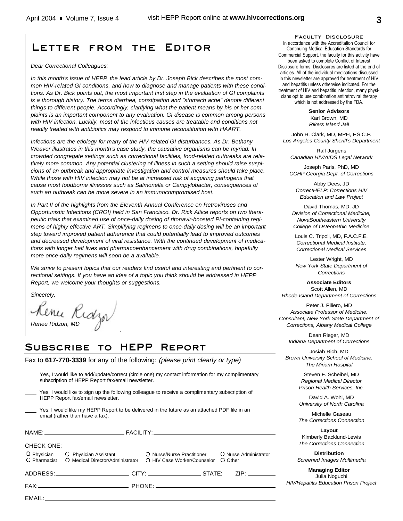#### **Faculty Disclosure**

In accordance with the Accreditation Council for Continuing Medical Education Standards for Commercial Support, the faculty for this activity have been asked to complete Conflict of Interest Disclosure forms. Disclosures are listed at the end of articles. All of the individual medications discussed in this newsletter are approved for treatment of HIV and hepatitis unless otherwise indicated. For the treatment of HIV and hepatitis infection, many physicians opt to use combination antiretroviral therapy which is not addressed by the FDA.

> **Senior Advisors** Karl Brown, MD *Rikers Island Jail*

John H. Clark, MD, MPH, F.S.C.P. *Los Angeles County Sheriff's Department*

Ralf Jürgens *Canadian HIV/AIDS Legal Network*

Joseph Paris, PhD, MD *CCHP Georgia Dept. of Corrections*

Abby Dees, JD *CorrectHELP: Corrections HIV Education and Law Project*

David Thomas, MD, JD *Division of Correctional Medicine, NovaSoutheastern University College of Osteopathic Medicine*

Louis C. Tripoli, MD, F.A.C.F.E. *Correctional Medical Institute, Correctional Medical Services*

Lester Wright, MD *New York State Department of Corrections*

**Associate Editors** Scott Allen, MD *Rhode Island Department of Corrections*

Peter J. Piliero, MD *Associate Professor of Medicine, Consultant, New York State Department of Corrections, Albany Medical College*

Dean Rieger, MD *Indiana Department of Corrections*

Josiah Rich, MD *Brown University School of Medicine, The Miriam Hospital*

> Steven F. Scheibel, MD *Regional Medical Director Prison Health Services, Inc.*

> David A. Wohl, MD *University of North Carolina*

> Michelle Gaseau *The Corrections Connection*

> **Layout** Kimberly Backlund-Lewis *The Corrections Connection*

**Distribution** *Screened Images Multimedia*

**Managing Editor** Julia Noguchi *HIV/Hepatitis Education Prison Project*

# **Letter from the Editor**

# *Dear Correctional Colleagues:*

*In this month's issue of HEPP, the lead article by Dr. Joseph Bick describes the most common HIV-related GI conditions, and how to diagnose and manage patients with these conditions. As Dr. Bick points out, the most important first step in the evaluation of GI complaints is a thorough history. The terms diarrhea, constipation and "stomach ache" denote different things to different people. Accordingly, clarifying what the patient means by his or her complaints is an important component to any evaluation. GI disease is common among persons with HIV infection. Luckily, most of the infectious causes are treatable and conditions not readily treated with antibiotics may respond to immune reconstitution with HAART.*

*Infections are the etiology for many of the HIV-related GI disturbances. As Dr. Bethany Weaver illustrates in this month's case study, the causative organisms can be myriad. In crowded congregate settings such as correctional facilities, food-related outbreaks are relatively more common. Any potential clustering of illness in such a setting should raise suspicions of an outbreak and appropriate investigation and control measures should take place. While those with HIV infection may not be at increased risk of acquiring pathogens that cause most foodborne illnesses such as Salmonella or Campylobacter, consequences of such an outbreak can be more severe in an immunocompromised host.*

*In Part II of the highlights from the Eleventh Annual Conference on Retroviruses and Opportunistic Infections (CROI) held in San Francisco. Dr. Rick Altice reports on two therapeutic trials that examined use of once-daily dosing of ritonavir-boosted PI-containing regimens of highly effective ART. Simplifying regimens to once-daily dosing will be an important step toward improved patient adherence that could potentially lead to improved outcomes and decreased development of viral resistance. With the continued development of medications with longer half lives and pharmacoenhancement with drug combinations, hopefully more once-daily regimens will soon be a available.*

*We strive to present topics that our readers find useful and interesting and pertinent to correctional settings. If you have an idea of a topic you think should be addressed in HEPP Report, we welcome your thoughts or suggestions.*

*Sincerely,*

*Renee Ridzon, MD*

# **Subscribe to HEPP Report**

Fax to **617-770-3339** for any of the following: *(please print clearly or type)*

|                   | subscription of HEPP Report fax/email newsletter. | Yes, I would like to add/update/correct (circle one) my contact information for my complimentary                                                  |                       |
|-------------------|---------------------------------------------------|---------------------------------------------------------------------------------------------------------------------------------------------------|-----------------------|
|                   | HEPP Report fax/email newsletter.                 | Yes, I would like to sign up the following colleague to receive a complimentary subscription of                                                   |                       |
|                   | email (rather than have a fax).                   | Yes, I would like my HEPP Report to be delivered in the future as an attached PDF file in an                                                      |                       |
|                   |                                                   |                                                                                                                                                   |                       |
| <b>CHECK ONE:</b> |                                                   | O Physician C Physician Assistant C Nurse/Nurse Practitioner<br>O Pharmacist O Medical Director/Administrator O HIV Case Worker/Counselor O Other | O Nurse Administrator |
|                   |                                                   | ADDRESS:__________________________CITY: ___________________STATE: ____ ZIP: _________                                                             |                       |
|                   |                                                   |                                                                                                                                                   |                       |
| FMAII :           |                                                   |                                                                                                                                                   |                       |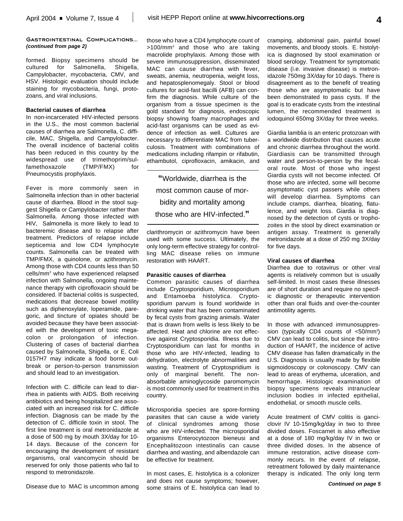## **Gastrointestinal Complications...** *(continued from page 2)*

formed. Biopsy specimens should be cultured for Salmonella, Shigella, Campylobacter, mycobacteria, CMV, and HSV. Histologic evaluation should include staining for mycobacteria, fungi, protozoans, and viral inclusions.

#### **Bacterial causes of diarrhea**

In non-incarcerated HIV-infected persons in the U.S., the most common bacterial causes of diarrhea are Salmonella, C. difficile, MAC, Shigella, and Campylobacter. The overall incidence of bacterial colitis has been reduced in this country by the widespread use of trimethoprim/sulfamethoxazole (TMP/FMX) for Pneumocystis prophylaxis.

Fever is more commonly seen in Salmonella infection than in other bacterial cause of diarrhea. Blood in the stool suggest Shigella or Campylobacter rather than Salmonella. Among those infected with HIV, Salmonella is more likely to lead to bacteremic disease and to relapse after treatment. Predictors of relapse include septicemia and low CD4 lymphocyte counts. Salmonella can be treated with TMP/FMX, a quinolone, or azithromycin. Among those with CD4 counts less than 50 cells/mm<sup>3</sup> who have experienced relapsed infection with Salmonella, ongoing maintenance therapy with ciprofloxacin should be considered. If bacterial colitis is suspected, medications that decrease bowel motility such as diphenoxylate, loperamide, paregoric, and tincture of opiates should be avoided because they have been associated with the development of toxic megacolon or prolongation of infection. Clustering of cases of bacterial diarrhea caused by Salmonella, Shigella, or E. Coli 0157H7 may indicate a food borne outbreak or person-to-person transmission and should lead to an investigation.

Infection with C. difficile can lead to diarrhea in patients with AIDS. Both receiving antibiotics and being hospitalized are associated with an increased risk for C. difficile infection. Diagnosis can be made by the detection of C. difficile toxin in stool. The first line treatment is oral metronidazole at a dose of 500 mg by mouth 3X/day for 10- 14 days. Because of the concern for encouraging the development of resistant organisms, oral vancomycin should be reserved for only those patients who fail to respond to metronidazole.

Disease due to MAC is uncommon among

those who have a CD4 lymphocyte count of >100/mm<sup>3</sup> and those who are taking macrolide prophylaxis. Among those with severe immunosuppression, disseminated MAC can cause diarrhea with fever, sweats, anemia, neutropenia, weight loss, and hepatosplenomegaly. Stool or blood cultures for acid-fast bacilli (AFB) can confirm the diagnosis. While culture of the organism from a tissue specimen is the gold standard for diagnosis, endoscopic biopsy showing foamy macrophages and acid-fast organisms can be used as evidence of infection as well. Cultures are necessary to differentiate MAC from tuberculosis. Treatment with combinations of medications including rifampin or rifabutin, ethambutol, ciprofloxacin, amikacin, and

**"**Worldwide, diarrhea is the most common cause of morbidity and mortality among those who are HIV-infected.**"**

clarithromycin or azithromycin have been used with some success. Ultimately, the only long-term effective strategy for controlling MAC disease relies on immune restoration with HAART.

#### **Parasitic causes of diarrhea**

Common parasitic causes of diarrhea include Cryptosporidium, Microsporidium and Entamoeba histolytica. Cryptosporidium parvum is found worldwide in drinking water that has been contaminated by fecal cysts from grazing animals. Water that is drawn from wells is less likely to be affected. Heat and chlorine are not effective against Cryptosporidia. Illness due to Cryptosporidium can last for months in those who are HIV-infected, leading to dehydration, electrolyte abnormalities and wasting. Treatment of Cryptospridium is only of marginal benefit. The nonabsorbable aminoglycoside paromomycin is most commonly used for treatment in this country.

Microsporidia species are spore-forming parasites that can cause a wide variety of clinical syndromes among those who are HIV-infected. The microsporidial organisms Enterocytozoon bieneusi and Encephalitozoon intestinalis can cause diarrhea and wasting, and albendazole can be effective for treatment.

In most cases, E. histolytica is a colonizer and does not cause symptoms; however, some strains of E. histolytica can lead to cramping, abdominal pain, painful bowel movements, and bloody stools. E. histolytica is diagnosed by stool examination or blood serology. Treatment for symptomatic disease (i.e. invasive disease) is metronidazole 750mg 3X/day for 10 days. There is disagreement as to the benefit of treating those who are asymptomatic but have been demonstrated to pass cysts. If the goal is to eradicate cysts from the intestinal lumen, the recommended treatment is iodoquinol 650mg 3X/day for three weeks.

Giardia lamblia is an enteric protozoan with a worldwide distribution that causes acute and chronic diarrhea throughout the world. Giardiasis can be transmitted through water and person-to-person by the fecaloral route. Most of those who ingest Giardia cysts will not become infected. Of those who are infected, some will become asymptomatic cyst passers while others will develop diarrhea. Symptoms can include cramps, diarrhea, bloating, flatulence, and weight loss. Giardia is diagnosed by the detection of cysts or trophozoites in the stool by direct examination or antigen assay. Treatment is generally metronidazole at a dose of 250 mg 3X/day for five days.

#### **Viral causes of diarrhea**

Diarrhea due to rotavirus or other viral agents is relatively common but is usually self-limited. In most cases these illnesses are of short duration and require no specific diagnostic or therapeutic intervention other than oral fluids and over-the-counter antimotility agents.

In those with advanced immunosuppression (typically CD4 counts of <50/mm<sup>3</sup>) CMV can lead to colitis, but since the introduction of HAART, the incidence of active CMV disease has fallen dramatically in the U.S. Diagnosis is usually made by flexible sigmoidoscopy or colonoscopy. CMV can lead to areas of erythema, ulceration, and hemorrhage. Histologic examination of biopsy specimens reveals intranuclear inclusion bodies in infected epithelial, endothelial, or smooth muscle cells.

Acute treatment of CMV colitis is ganciclovir IV 10-15mg/kg/day in two to three divided doses. Foscarnet is also effective at a dose of 180 mg/kg/day IV in two or three divided doses. In the absence of immune restoration, active disease commonly recurs. In the event of relapse, retreatment followed by daily maintenance therapy is indicated. The only long term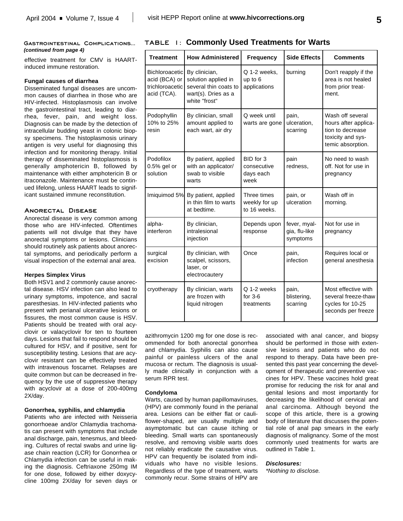#### **Gastrointestinal Complications...** *(continued from page 4)*

effective treatment for CMV is HAARTinduced immune restoration.

## **Fungal causes of diarrhea**

Disseminated fungal diseases are uncommon causes of diarrhea in those who are HIV-infected. Histoplasmosis can involve the gastrointestinal tract, leading to diarrhea, fever, pain, and weight loss. Diagnosis can be made by the detection of intracellular budding yeast in colonic biopsy specimens. The histoplasmosis urinary antigen is very useful for diagnosing this infection and for monitoring therapy. Initial therapy of disseminated histoplasmosis is generally amphotericin B, followed by maintenance with either amphotericin B or itraconazole. Maintenance must be continued lifelong, unless HAART leads to significant sustained immune reconstitution.

# **Anorectal Disease**

Anorectal disease is very common among those who are HIV-infected. Oftentimes patients will not divulge that they have anorectal symptoms or lesions. Clinicians should routinely ask patients about anorectal symptoms, and periodically perform a visual inspection of the external anal area.

# **Herpes Simplex Virus**

Both HSV1 and 2 commonly cause anorectal disease. HSV infection can also lead to urinary symptoms, impotence, and sacral paresthesias. In HIV-infected patients who present with perianal ulcerative lesions or fissures, the most common cause is HSV. Patients should be treated with oral acyclovir or valacyclovir for ten to fourteen days. Lesions that fail to respond should be cultured for HSV, and if positive, sent for susceptibility testing. Lesions that are acyclovir resistant can be effectively treated with intravenous foscarnet. Relapses are quite common but can be decreased in frequency by the use of suppressive therapy with acyclovir at a dose of 200-400mg 2X/day.

#### **Gonorrhea, syphilis, and chlamydia**

Patients who are infected with Neisseria gonorrhoeae and/or Chlamydia trachomatis can present with symptoms that include anal discharge, pain, tenesmus, and bleeding. Cultures of rectal swabs and urine ligase chain reaction (LCR) for Gonorrhea or Chlamydia infection can be useful in making the diagnosis. Ceftriaxone 250mg IM for one dose, followed by either doxycycline 100mg 2X/day for seven days or

|  |  |  |  | TABLE 1: Commonly Used Treatments for Warts |  |  |
|--|--|--|--|---------------------------------------------|--|--|
|--|--|--|--|---------------------------------------------|--|--|

| <b>Treatment</b>                                                         | <b>How Administered</b>                                                                               | Frequency                                     | <b>Side Effects</b>                       | <b>Comments</b>                                                                                        |
|--------------------------------------------------------------------------|-------------------------------------------------------------------------------------------------------|-----------------------------------------------|-------------------------------------------|--------------------------------------------------------------------------------------------------------|
| <b>Bichloroacetic</b><br>acid (BCA) or<br>trichloroacetic<br>acid (TCA). | By clinician,<br>solution applied in<br>several thin coats to<br>wart(s). Dries as a<br>white "frost" | Q 1-2 weeks,<br>up to 6<br>applications       | burning                                   | Don't reapply if the<br>area is not healed<br>from prior treat-<br>ment.                               |
| Podophyllin<br>10% to 25%<br>resin                                       | By clinician, small<br>amount applied to<br>each wart, air dry                                        | Q week until<br>warts are gone                | pain,<br>ulceration,<br>scarring          | Wash off several<br>hours after applica-<br>tion to decrease<br>toxicity and sys-<br>temic absorption. |
| Podofilox<br>0.5% gel or<br>solution                                     | By patient, applied<br>with an applicator/<br>swab to visible<br>warts                                | BID for 3<br>consecutive<br>days each<br>week | pain<br>redness.                          | No need to wash<br>off. Not for use in<br>pregnancy                                                    |
|                                                                          | Imiquimod 5% By patient, applied<br>in thin film to warts<br>at bedtime.                              | Three times<br>weekly for up<br>to 16 weeks.  | pain, or<br>ulceration                    | Wash off in<br>morning.                                                                                |
| alpha-<br>interferon                                                     | By clinician,<br>intralesional<br>injection                                                           | Depends upon<br>response                      | fever, myal-<br>gia, flu-like<br>symptoms | Not for use in<br>pregnancy                                                                            |
| surgical<br>excision                                                     | By clinician, with<br>scalpel, scissors,<br>laser, or<br>electrocautery                               | Once                                          | pain,<br>infection                        | Requires local or<br>general anesthesia                                                                |
| cryotherapy                                                              | By clinician, warts<br>are frozen with<br>liquid nitrogen                                             | Q 1-2 weeks<br>for $3-6$<br>treatments        | pain,<br>blistering,<br>scarring          | Most effective with<br>several freeze-thaw<br>cycles for 10-25<br>seconds per freeze                   |

azithromycin 1200 mg for one dose is recommended for both anorectal gonorrhea and chlamydia. Syphilis can also cause painful or painless ulcers of the anal mucosa or rectum. The diagnosis is usually made clinically in conjunction with a serum RPR test.

#### **Condyloma**

Warts, caused by human papillomaviruses, (HPV) are commonly found in the perianal area. Lesions can be either flat or cauliflower-shaped, are usually multiple and asymptomatic but can cause itching or bleeding. Small warts can spontaneously resolve, and removing visible warts does not reliably eradicate the causative virus. HPV can frequently be isolated from individuals who have no visible lesions. Regardless of the type of treatment, warts commonly recur. Some strains of HPV are associated with anal cancer, and biopsy should be performed in those with extensive lesions and patients who do not respond to therapy. Data have been presented this past year concerning the development of therapeutic and preventive vaccines for HPV. These vaccines hold great promise for reducing the risk for anal and genital lesions and most importantly for decreasing the likelihood of cervical and anal carcinoma. Although beyond the scope of this article, there is a growing body of literature that discusses the potential role of anal pap smears in the early diagnosis of malignancy. Some of the most commonly used treatments for warts are outlined in Table 1.

## *Disclosures:*

*\*Nothing to disclose.*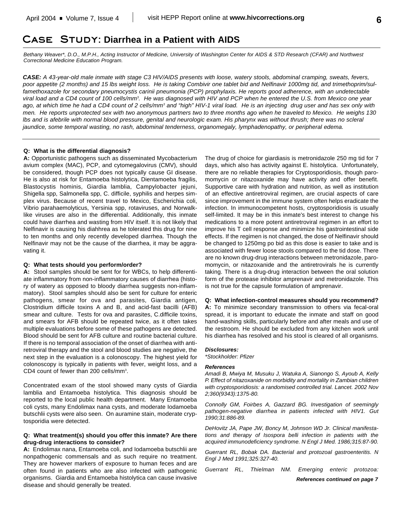# **Case Study: Diarrhea in a Patient with AIDS**

*Bethany Weaver\*, D.O., M.P.H., Acting Instructor of Medicine, University of Washington Center for AIDS & STD Research (CFAR) and Northwest Correctional Medicine Education Program.*

*CASE: A 43-year-old male inmate with stage C3 HIV/AIDS presents with loose, watery stools, abdominal cramping, sweats, fevers, poor appetite (2 months) and 15 lbs weight loss. He is taking Combivir one tablet bid and Nelfinavir 1000mg tid, and trimethoprim/sulfamethoxazole for secondary pneumocystis carinii pneumonia (PCP) prophylaxis. He reports good adherence, with an undetectable* viral load and a CD4 count of 100 cells/mm<sup>3</sup>. He was diagnosed with HIV and PCP when he entered the U.S. from Mexico one year *ago, at which time he had a CD4 count of 2 cells/mm<sup>3</sup> and "high" HIV-1 viral load. He is an injecting drug user and has sex only with men. He reports unprotected sex with two anonymous partners two to three months ago when he traveled to Mexico. He weighs 130 lbs and is afebrile with normal blood pressure, genital and neurologic exam. His pharynx was without thrush; there was no scleral jaundice, some temporal wasting, no rash, abdominal tenderness, organomegaly, lymphadenopathy, or peripheral edema.* 

## **Q: What is the differential diagnosis?**

**A:** Opportunistic pathogens such as disseminated Mycobacterium avium complex (MAC), PCP, and cytomegalovirus (CMV), should be considered, though PCP does not typically cause GI disease. He is also at risk for Entamoeba histolytica, Dientamoeba fragilis, Blastocystis hominis, Giardia lamblia, Campylobacter jejuni, Shigella spp, Salmonella spp, C. difficile, syphilis and herpes simplex virus. Because of recent travel to Mexico, Escherichia coli, Vibrio parahaemolyticus, Yersinia spp, rotaviruses, and Norwalklike viruses are also in the differential. Additionally, this inmate could have diarrhea and wasting from HIV itself. It is not likely that Nelfinavir is causing his diahhrea as he tolerated this drug for nine to ten months and only recently developed diarrhea. Though the Nelfinavir may not be the cause of the diarrhea, it may be aggravating it.

#### **Q: What tests should you perform/order?**

**A:** Stool samples should be sent for for WBCs, to help differentiate inflammatory from non-inflammatory causes of diarrhea (history of watery as opposed to bloody diarrhea suggests non-inflammatory). Stool samples should also be sent for culture for enteric pathogens, smear for ova and parasites, Giardia antigen, Clostridium difficile toxins A and B, and acid-fast bacilli (AFB) smear and culture. Tests for ova and parasites, C.difficile toxins, and smears for AFB should be repeated twice, as it often takes multiple evaluations before some of these pathogens are detected. Blood should be sent for AFB culture and routine bacterial culture. If there is no temporal association of the onset of diarrhea with antiretroviral therapy and the stool and blood studies are negative, the next step in the evaluation is a colonoscopy. The highest yield for colonoscopy is typically in patients with fever, weight loss, and a CD4 count of fewer than 200 cells/mm<sup>3</sup>.

Concentrated exam of the stool showed many cysts of Giardia lamblia and Entamoeba histolytica. This diagnosis should be reported to the local public health department. Many Entamoeba coli cysts, many Endolimax nana cysts, and moderate Iodamoeba butschlii cysts were also seen. On auramine stain, moderate cryptosporidia were detected.

## **Q: What treatment(s) should you offer this inmate? Are there drug-drug interactions to consider?**

**A:** Endolimax nana, Entamoeba coli, and Iodamoeba butschlii are nonpathogenic commensals and as such require no treatment. They are however markers of exposure to human feces and are often found in patients who are also infected with pathogenic organisms. Giardia and Entamoeba histolytica can cause invasive disease and should generally be treated.

The drug of choice for giardiasis is metronidazole 250 mg tid for 7 days, which also has activity against E. histolytica. Unfortunately, there are no reliable therapies for Cryptosporidiosis, though paromomycin or nitazoxanide may have activity and offer benefit. Supportive care with hydration and nutrition, as well as institution of an effective antiretroviral regimen, are crucial aspects of care since improvement in the immune system often helps eradicate the infection. In immunocompetent hosts, cryptosporidiosis is usually self-limited. It may be in this inmate's best interest to change his medications to a more potent antiretroviral regimen in an effort to improve his T cell response and minimize his gastrointestinal side effects. If the regimen is not changed, the dose of Nelfinavir should be changed to 1250mg po bid as this dose is easier to take and is associated with fewer loose stools compared to the tid dose. There are no known drug-drug interactions between metronidazole, paromomycin, or nitazoxanide and the antiretrovirals he is currently taking. There is a drug-drug interaction between the oral solution form of the protease inhibitor amprenavir and metronidazole. This is not true for the capsule formulation of amprenavir.

## **Q: What infection-control measures should you recommend?**

**A:** To minimize secondary transmission to others via fecal-oral spread, it is important to educate the inmate and staff on good hand-washing skills, particularly before and after meals and use of the restroom. He should be excluded from any kitchen work until his diarrhea has resolved and his stool is cleared of all organisms.

#### *Disclosures:*

*\*Stockholder: Pfizer*

#### *References*

*Amadi B, Mwiya M, Musuku J, Watuka A, Sianongo S, Ayoub A, Kelly P. Effect of nitazoxanide on morbidity and mortality in Zambian children with cryptosporidiosis: a randomised controlled trial. Lancet. 2002 Nov 2;360(9343):1375-80.*

*Connolly GM, Foirbes A, Gazzard BG. Investigation of seemingly pathogen-negative diarrhea in patients infected with HIV1. Gut 1990;31:886-89.*

*DeHovitz JA, Pape JW, Boncy M, Johnson WD Jr. Clinical manifestations and therapy of Isospora belli infection in patients with the acquired immunodeficiency syndrome. N Engl J Med. 1986;315:87-90.*

*Guerrant RL, Bobak DA. Bacterial and protozoal gastroenteritis. N Engl J Med 1991;325:327-40.*

*Guerrant RL, Thielman NM. Emerging enteric protozoa:*

*References continued on page 7*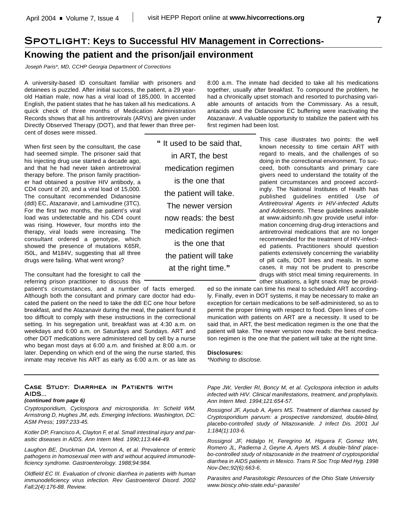# **Spotlight: Keys to Successful HIV Management in Corrections-Knowing the patient and the prison/jail environment**

*Joseph Paris\*, MD, CCHP Georgia Department of Corrections*

A university-based ID consultant familiar with prisoners and detainees is puzzled. After initial success, the patient, a 29 yearold Haitian male, now has a viral load of 185,000. In accented English, the patient states that he has taken all his medications. A quick check of three months of Medication Administration Records shows that all his antiretrovirals (ARVs) are given under Directly Observed Therapy (DOT), and that fewer than three percent of doses were missed.

8:00 a.m. The inmate had decided to take all his medications together, usually after breakfast. To compound the problem, he had a chronically upset stomach and resorted to purchasing variable amounts of antacids from the Commissary. As a result, antacids and the Didanosine EC buffering were inactivating the Atazanavir. A valuable opportunity to stabilize the patient with his first regimen had been lost.

When first seen by the consultant, the case had seemed simple. The prisoner said that his injecting drug use started a decade ago, and that he had never taken antiretroviral therapy before. The prison family practitioner had obtained a positive HIV antibody, a CD4 count of 20, and a viral load of 15,000. The consultant recommended Didanosine (ddI) EC, Atazanavir, and Lamivudine (3TC). For the first two months, the patient's viral load was undetectable and his CD4 count was rising. However, four months into the therapy, viral loads were increasing. The consultant ordered a genotype, which showed the presence of mutations K65R, I50L, and M184V, suggesting that all three drugs were failing. What went wrong?

The consultant had the foresight to call the referring prison practitioner to discuss this

patient's circumstances, and a number of facts emerged. Although both the consultant and primary care doctor had educated the patient on the need to take the ddI EC one hour before breakfast, and the Atazanavir during the meal, the patient found it too difficult to comply with these instructions in the correctional setting. In his segregation unit, breakfast was at 4:30 a.m. on weekdays and 6:00 a.m. on Saturdays and Sundays. ART and other DOT medications were administered cell by cell by a nurse who began most days at 6:00 a.m. and finished at 8:00 a.m. or later. Depending on which end of the wing the nurse started, this inmate may receive his ART as early as 6:00 a.m. or as late as

## **Case Study: Diarrhea in Patients with AIDS...**

#### *(continued from page 6)*

*Cryptosporidium, Cyclospora and microsporidia. In: Scheld WM, Armstrong D, Hughes JM, eds. Emerging Infections. Washington, DC: ASM Press; 1997:233-45.*

*Kotler DP, Francisco A, Clayton F, et al. Small intestinal injury and parasitic diseases in AIDS. Ann Intern Med. 1990;113:444-49.*

*Laughon BE, Druckman DA, Vernon A, et al. Prevalence of enteric pathogens in homosexual men with and without acquired immunodeficiency syndrome. Gastroenterology. 1988;94:984.*

*Oldfield EC III. Evaluation of chronic diarrhea in patients with human immunodeficiency virus infection. Rev Gastroenterol Disord. 2002 Fall;2(4):176-88. Review.*

**"** It used to be said that, in ART, the best medication regimen is the one that the patient will take. The newer version now reads: the best medication regimen is the one that the patient will take at the right time.**"**

This case illustrates two points: the well known necessity to time certain ART with regard to meals, and the challenges of so doing in the correctional environment. To succeed, both consultants and primary care givers need to understand the totality of the patient circumstances and proceed accordingly. The National Institutes of Health has published guidelines entitled *Use of Antiretroviral Agents in HIV-infected Adults and Adolescents*. These guidelines available at www.aidsinfo.nih.gov provide useful information concerning drug-drug interactions and antiretroviral medications that are no longer recommended for the treatment of HIV-infected patients. Practitioners should question patients extensively concerning the variability of pill calls, DOT lines and meals. In some cases, it may not be prudent to prescribe drugs with strict meal timing requirements. In other situations, a light snack may be provid-

ed so the inmate can time his meal to scheduled ART accordingly. Finally, even in DOT systems, it may be necessary to make an exception for certain medications to be self-administered, so as to permit the proper timing with respect to food. Open lines of communication with patients on ART are a necessity. It used to be said that, in ART, the best medication regimen is the one that the patient will take. The newer version now reads: the best medication regimen is the one that the patient will take at the right time.

#### **Disclosures:**

*\*Nothing to disclose.*

*Pape JW, Verdier RI, Boncy M, et al. Cyclospora infection in adults infected with HIV. Clinical manifestations, treatment, and prophylaxis. Ann Intern Med. 1994;121:654-57.*

*Rossignol JF, Ayoub A, Ayers MS. Treatment of diarrhea caused by Cryptosporidium parvum: a prospective randomized, double-blind, placebo-controlled study of Nitazoxanide. J Infect Dis. 2001 Jul 1;184(1):103-6.* 

*Rossignol JF, Hidalgo H, Feregrino M, Higuera F, Gomez WH, Romero JL, Padierna J, Geyne A, Ayers MS. A double-'blind' placebo-controlled study of nitazoxanide in the treatment of cryptosporidial diarrhea in AIDS patients in Mexico. Trans R Soc Trop Med Hyg. 1998 Nov-Dec;92(6):663-6.*

*Parasites and Parasitologic Resources of the Ohio State University www.bioscy.ohio-state.edu/*~*parasite/*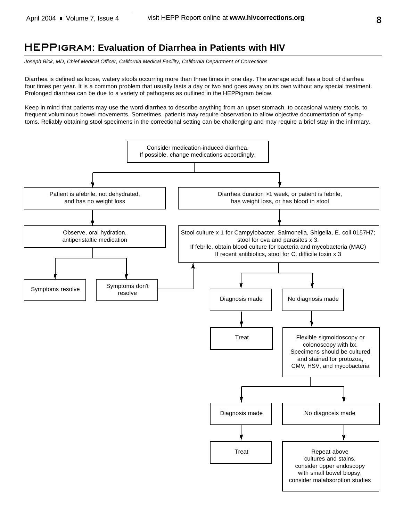# **HEPPigram: Evaluation of Diarrhea in Patients with HIV**

*Joseph Bick, MD, Chief Medical Officer, California Medical Facility, California Department of Corrections*

Diarrhea is defined as loose, watery stools occurring more than three times in one day. The average adult has a bout of diarrhea four times per year. It is a common problem that usually lasts a day or two and goes away on its own without any special treatment. Prolonged diarrhea can be due to a variety of pathogens as outlined in the HEPPigram below.

Keep in mind that patients may use the word diarrhea to describe anything from an upset stomach, to occasional watery stools, to frequent voluminous bowel movements. Sometimes, patients may require observation to allow objective documentation of symptoms. Reliably obtaining stool specimens in the correctional setting can be challenging and may require a brief stay in the infirmary.

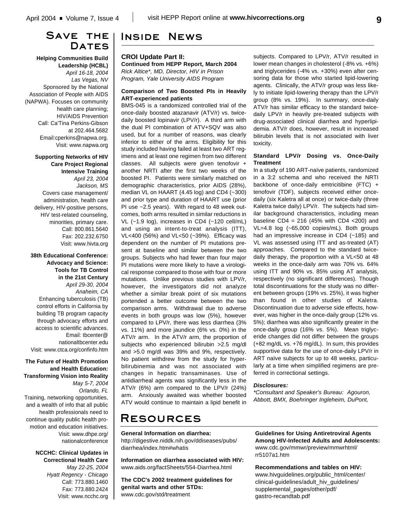# **Save the** DATES

**Helping Communities Build Leadership (HCBL)** *April 16-18, 2004 Las Vegas, NV* Sponsored by the National Association of People with AIDS (NAPWA). Focuses on community health care planning; HIV/AIDS Prevention Call: Ca'Tina Perkins-Gibson at 202.464.5682 Email:cperkins@napwa.org. Visit: www.napwa.org

#### **Supporting Networks of HIV Care Project Regional Intensive Training**

*April 23, 2004 Jackson, MS* Covers case management/ administration, health care delivery, HIV-positive persons, HIV test-related counseling, minorities, primary care. Call: 800.861.5640 Fax: 202.232.6750 Visit: www.hivta.org

**38th Educational Conference: Advocacy and Science: Tools for TB Control in the 21st Century** *April 29-30, 2004 Anaheim, CA* Enhancing tuberculosis (TB) control efforts in California by building TB program capacity through advocacy efforts and access to scientific advances. Email: tbcenter@ nationaltbcenter.edu Visit: www.ctca.org/confinfo.htm

### **The Future of Health Promotion and Health Education: Transforming Vision into Reality** *May 5-7, 2004*

*Orlando, FL* Training, networking opportunities, and a wealth of info that all public health professionals need to continue quality public health promotion and education initiatives. Visit: www.dhpe.org/ nationalconference

# **NCCHC: Clinical Updates in Correctional Health Care**

*May 22-25, 2004 Hyatt Regency - Chicago* Call: 773.880.1460 Fax: 773.880.2424 Visit: www.ncchc.org

# **Inside News**

#### **CROI Update Part II:**

**Continued from HEPP Report, March 2004** *Rick Altice\*, MD, Director, HIV in Prison Program, Yale University AIDS Program*

## **Comparison of Two Boosted PIs in Heavily ART-experienced patients**

BMS-045 is a randomized controlled trial of the once-daily boosted atazanavir (ATV/r) vs. twicedaily boosted lopinavir (LPV/r). A third arm with the dual PI combination of ATV+SQV was also used, but for a number of reasons, was clearly inferior to either of the arms. Eligibility for this study included having failed at least two ART regimens and at least one regimen from two different classes. All subjects were given tenofovir + another NRTI after the first two weeks of the boosted PI. Patients were similarly matched on demographic characteristics, prior AIDS (28%), median VL on HAART (4.45 log) and CD4 (~300) and prior type and duration of HAART use (prior PI use ~2.5 years). With regard to 48 week outcomes, both arms resulted in similar reductions in VL (~1.9 log), increases in CD4 (~120 cell/mL) and using an intent-to-treat analysis (ITT), VL<400 (56%) and VL<50 (~39%). Efficacy was dependent on the number of PI mutations present at baseline and similar between the two groups. Subjects who had fewer than four major PI mutations were more likely to have a virological response compared to those with four or more mutations. Unlike previous studies with LPV/r, however, the investigators did not analyze whether a similar break point of six mutations portended a better outcome between the two comparison arms. Withdrawal due to adverse events in both groups was low (5%), however compared to LPV/r, there was less diarrhea (3% vs. 11%) and more jaundice (6% vs. 0%) in the ATV/r arm. In the ATV/r arm, the proportion of subjects who experienced bilirubin >2.5 mg/dl and >5.0 mg/dl was 39% and 9%, respectively. No patient withdrew from the study for hyperbilirubinemia and was not associated with changes in hepatic transaminases. Use of antidiarrheal agents was significantly less in the ATV/r (6%) arm compared to the LPV/r (24%) arm. Anxiously awaited was whether boosted ATV would continue to maintain a lipid benefit in subjects. Compared to LPV/r, ATV/r resulted in lower mean changes in cholesterol (-8% vs. +6%) and triglycerides (-4% vs. +30%) even after censoring data for those who started lipid-lowering agents. Clinically, the ATV/r group was less likely to initiate lipid-lowering therapy than the LPV/r group (8% vs. 19%). In summary, once-daily ATV/r has similar efficacy to the standard twicedaily LPV/r in heavily pre-treated subjects with drug-associated clinical diarrhea and hyperlipidemia. ATV/r does, however, result in increased bilirubin levels that is not associated with liver toxicity.

## **Standard LPV/r Dosing vs. Once-Daily Treatment**

In a study of 190 ART-naïve patients, randomized in a 3:2 schema and who received the NRTI backbone of once-daily emtricitibine (FTC) + tenofovir (TDF), subjects received either oncedaily (six Kaletra all at once) or twice-daily (three Kaletra twice daily) LPV/r. The subjects had similar background characteristics, including mean baseline CD4 = 216 (45% with CD4 < 200) and VL=4.8 log (~65,000 copies/mL). Both groups had an impressive increase in CD4 (~185) and VL was assessed using ITT and as-treated (AT) approaches. Compared to the standard twicedaily therapy, the proportion with a VL<50 at 48 weeks in the once-daily arm was 70% vs. 64% using ITT and 90% vs. 85% using AT analysis, respectively (no significant differences). Though total discontinuations for the study was no different between groups (19% vs. 25%), it was higher than found in other studies of Kaletra. Discontinuation due to adverse side effects, however, was higher in the once-daily group (12% vs. 5%); diarrhea was also significantly greater in the once-daily group (16% vs. 5%). Mean triglyceride changes did not differ between the groups (+82 mg/dL vs. +76 mg/dL). In sum, this provides supportive data for the use of once-daily LPV/r in ART naïve subjects for up to 48 weeks, particularly at a time when simplified regimens are preferred in correctional settings.

#### *Disclosures:*

*\*Consultant and Speaker's Bureau: Agouron, Abbott, BMX, Boehringer Ingleheim, DuPont,*

# **Resources**

#### **General Information on diarrhea:**

http://digestive.niddk.nih.gov/ddiseases/pubs/ diarrhea/index.htm#whatis

**Information on diarrhea associated with HIV:** www.aids.org/factSheets/554-Diarrhea.html

**The CDC's 2002 treatment guidelines for genital warts and other STDs:** www.cdc.gov/std/treatment

**Guidelines for Using Antiretroviral Agents Among HIV-Infected Adults and Adolescents:** www.cdc.gov/mmwr/preview/mmwrhtml/ rr5107a1.htm

**Recommendations and tables on HIV:** www.hivguidelines.org/public\_html/center/ clinical-guidelines/adult\_hiv\_guidelines/ supplemental\_pages/other/pdf/ gastro-recandtab.pdf